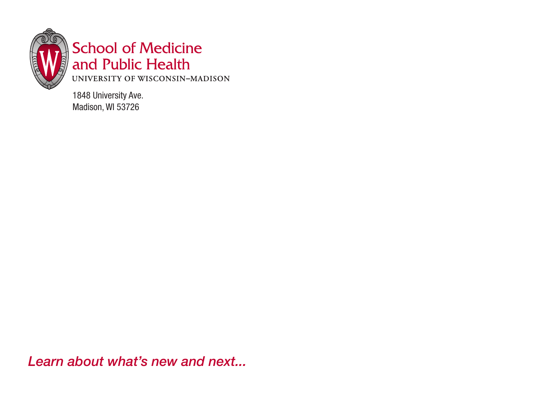

### **School of Medicine** and Public Health

UNIVERSITY OF WISCONSIN-MADISON

1848 University Ave. Madison, WI 53726

*Learn about what's new and next...*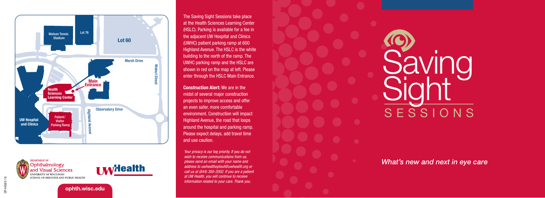



The Saving Sight Sessions take place at the Health Sciences Learning Center (HSLC). Parking is available for a fee in the adjacent UW Hospital and Clinics (UWHC) patient parking ramp at 600 Highland Avenue. The HSLC is the white building to the north of the ramp. The UWHC parking ramp and the HSLC are shown in red on the map at left. Please enter through the HSLC Main Entrance.

Construction Alert: We are in the midst of several major construction projects to improve access and offer an even safer, more comfortable environment. Construction will impact Highland Avenue, the road that loops around the hospital and parking ramp. Please expect delays, add travel time and use caution.

*Your privacy is our top priority. If you do not wish to receive communications from us, please send an email with your name and address to uwhealthoptout@uwhealth.org or call us at (844) 300-2002. If you are a patient at UW Health, you will continue to receive information related to your care. Thank you.* 

# SESSIONS Saving **Sight**

*What's new and next in eye care*